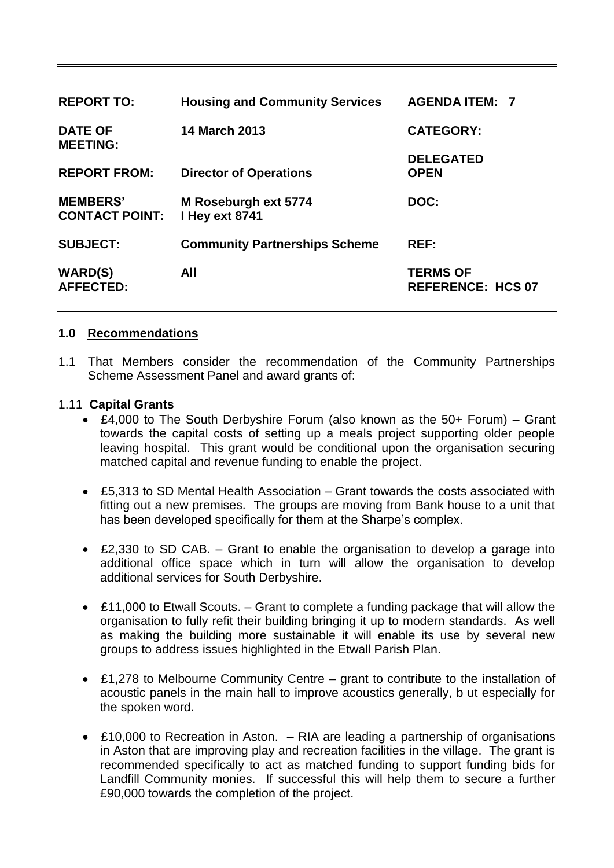| <b>REPORT TO:</b>                        | <b>Housing and Community Services</b>  | <b>AGENDA ITEM: 7</b>                       |
|------------------------------------------|----------------------------------------|---------------------------------------------|
| <b>DATE OF</b><br><b>MEETING:</b>        | <b>14 March 2013</b>                   | <b>CATEGORY:</b>                            |
| <b>REPORT FROM:</b>                      | <b>Director of Operations</b>          | <b>DELEGATED</b><br><b>OPEN</b>             |
| <b>MEMBERS'</b><br><b>CONTACT POINT:</b> | M Roseburgh ext 5774<br>I Hey ext 8741 | DOC:                                        |
| <b>SUBJECT:</b>                          | <b>Community Partnerships Scheme</b>   | REF:                                        |
| <b>WARD(S)</b><br><b>AFFECTED:</b>       | All                                    | <b>TERMS OF</b><br><b>REFERENCE: HCS 07</b> |

## **1.0 Recommendations**

1.1 That Members consider the recommendation of the Community Partnerships Scheme Assessment Panel and award grants of:

### 1.11 **Capital Grants**

- £4,000 to The South Derbyshire Forum (also known as the 50+ Forum) Grant towards the capital costs of setting up a meals project supporting older people leaving hospital. This grant would be conditional upon the organisation securing matched capital and revenue funding to enable the project.
- £5,313 to SD Mental Health Association Grant towards the costs associated with fitting out a new premises. The groups are moving from Bank house to a unit that has been developed specifically for them at the Sharpe's complex.
- £2,330 to SD CAB. Grant to enable the organisation to develop a garage into additional office space which in turn will allow the organisation to develop additional services for South Derbyshire.
- £11,000 to Etwall Scouts. Grant to complete a funding package that will allow the organisation to fully refit their building bringing it up to modern standards. As well as making the building more sustainable it will enable its use by several new groups to address issues highlighted in the Etwall Parish Plan.
- £1,278 to Melbourne Community Centre grant to contribute to the installation of acoustic panels in the main hall to improve acoustics generally, b ut especially for the spoken word.
- £10,000 to Recreation in Aston. RIA are leading a partnership of organisations in Aston that are improving play and recreation facilities in the village. The grant is recommended specifically to act as matched funding to support funding bids for Landfill Community monies. If successful this will help them to secure a further £90,000 towards the completion of the project.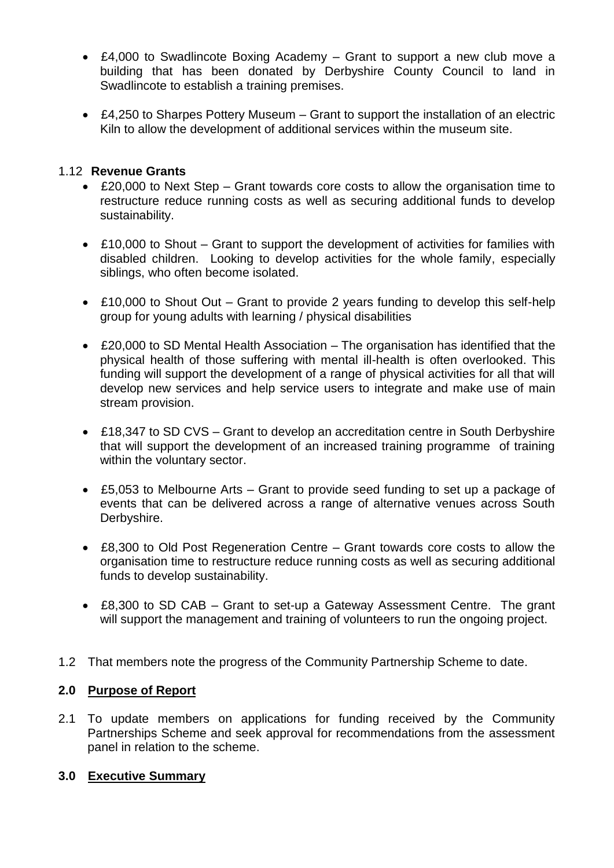- £4,000 to Swadlincote Boxing Academy Grant to support a new club move a building that has been donated by Derbyshire County Council to land in Swadlincote to establish a training premises.
- £4,250 to Sharpes Pottery Museum Grant to support the installation of an electric Kiln to allow the development of additional services within the museum site.

## 1.12 **Revenue Grants**

- £20,000 to Next Step Grant towards core costs to allow the organisation time to restructure reduce running costs as well as securing additional funds to develop sustainability.
- £10,000 to Shout Grant to support the development of activities for families with disabled children. Looking to develop activities for the whole family, especially siblings, who often become isolated.
- £10,000 to Shout Out Grant to provide 2 years funding to develop this self-help group for young adults with learning / physical disabilities
- £20,000 to SD Mental Health Association The organisation has identified that the physical health of those suffering with mental ill-health is often overlooked. This funding will support the development of a range of physical activities for all that will develop new services and help service users to integrate and make use of main stream provision.
- £18,347 to SD CVS Grant to develop an accreditation centre in South Derbyshire that will support the development of an increased training programme of training within the voluntary sector.
- £5,053 to Melbourne Arts Grant to provide seed funding to set up a package of events that can be delivered across a range of alternative venues across South Derbyshire.
- £8,300 to Old Post Regeneration Centre Grant towards core costs to allow the organisation time to restructure reduce running costs as well as securing additional funds to develop sustainability.
- £8,300 to SD CAB Grant to set-up a Gateway Assessment Centre. The grant will support the management and training of volunteers to run the ongoing project.
- 1.2 That members note the progress of the Community Partnership Scheme to date.

## **2.0 Purpose of Report**

2.1 To update members on applications for funding received by the Community Partnerships Scheme and seek approval for recommendations from the assessment panel in relation to the scheme.

## **3.0 Executive Summary**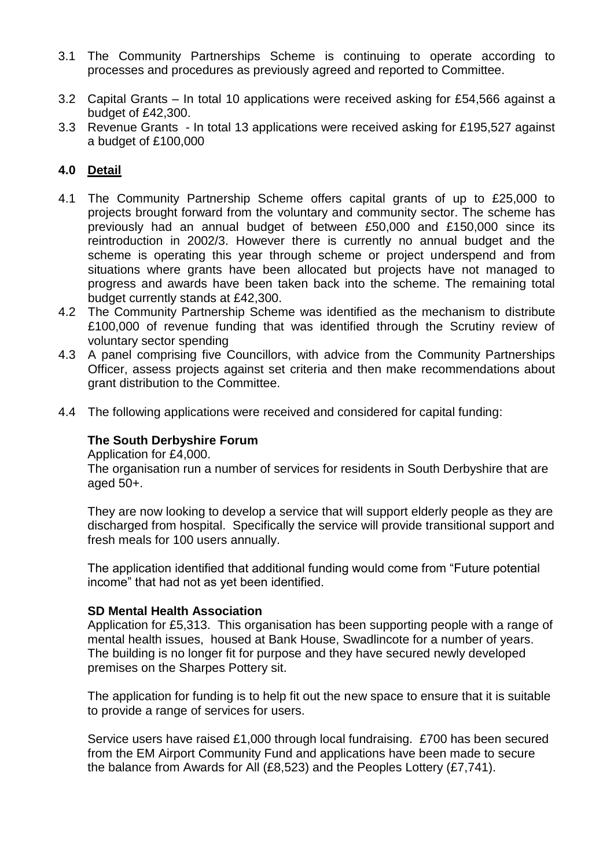- 3.1 The Community Partnerships Scheme is continuing to operate according to processes and procedures as previously agreed and reported to Committee.
- 3.2 Capital Grants In total 10 applications were received asking for £54,566 against a budget of £42,300.
- 3.3 Revenue Grants In total 13 applications were received asking for £195,527 against a budget of £100,000

# **4.0 Detail**

- 4.1 The Community Partnership Scheme offers capital grants of up to £25,000 to projects brought forward from the voluntary and community sector. The scheme has previously had an annual budget of between £50,000 and £150,000 since its reintroduction in 2002/3. However there is currently no annual budget and the scheme is operating this year through scheme or project underspend and from situations where grants have been allocated but projects have not managed to progress and awards have been taken back into the scheme. The remaining total budget currently stands at £42,300.
- 4.2 The Community Partnership Scheme was identified as the mechanism to distribute £100,000 of revenue funding that was identified through the Scrutiny review of voluntary sector spending
- 4.3 A panel comprising five Councillors, with advice from the Community Partnerships Officer, assess projects against set criteria and then make recommendations about grant distribution to the Committee.
- 4.4 The following applications were received and considered for capital funding:

# **The South Derbyshire Forum**

Application for £4,000.

The organisation run a number of services for residents in South Derbyshire that are aged  $50+$ .

They are now looking to develop a service that will support elderly people as they are discharged from hospital. Specifically the service will provide transitional support and fresh meals for 100 users annually.

The application identified that additional funding would come from "Future potential income" that had not as yet been identified.

## **SD Mental Health Association**

Application for £5,313. This organisation has been supporting people with a range of mental health issues, housed at Bank House, Swadlincote for a number of years. The building is no longer fit for purpose and they have secured newly developed premises on the Sharpes Pottery sit.

The application for funding is to help fit out the new space to ensure that it is suitable to provide a range of services for users.

Service users have raised £1,000 through local fundraising. £700 has been secured from the EM Airport Community Fund and applications have been made to secure the balance from Awards for All (£8,523) and the Peoples Lottery (£7,741).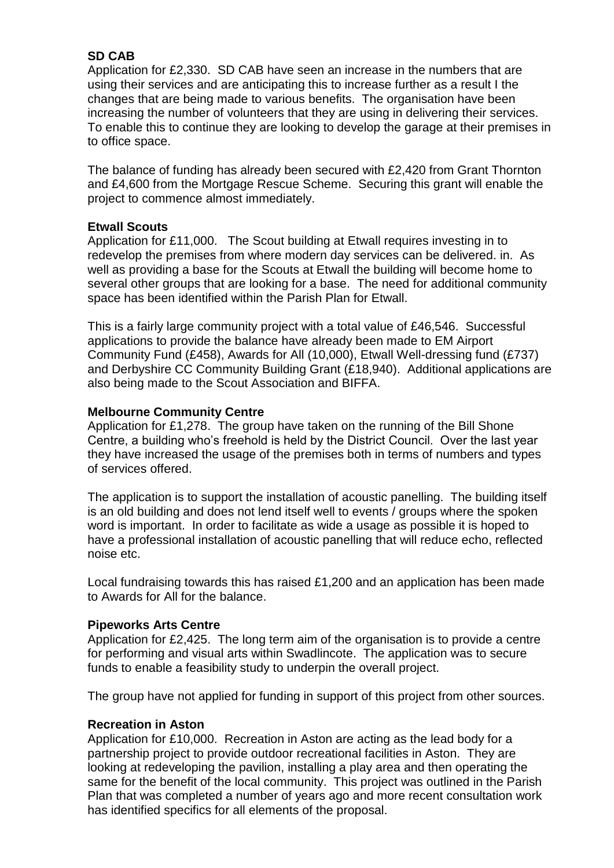# **SD CAB**

Application for £2,330. SD CAB have seen an increase in the numbers that are using their services and are anticipating this to increase further as a result I the changes that are being made to various benefits. The organisation have been increasing the number of volunteers that they are using in delivering their services. To enable this to continue they are looking to develop the garage at their premises in to office space.

The balance of funding has already been secured with £2,420 from Grant Thornton and £4,600 from the Mortgage Rescue Scheme. Securing this grant will enable the project to commence almost immediately.

## **Etwall Scouts**

Application for £11,000. The Scout building at Etwall requires investing in to redevelop the premises from where modern day services can be delivered. in. As well as providing a base for the Scouts at Etwall the building will become home to several other groups that are looking for a base. The need for additional community space has been identified within the Parish Plan for Etwall.

This is a fairly large community project with a total value of £46,546. Successful applications to provide the balance have already been made to EM Airport Community Fund (£458), Awards for All (10,000), Etwall Well-dressing fund (£737) and Derbyshire CC Community Building Grant (£18,940). Additional applications are also being made to the Scout Association and BIFFA.

## **Melbourne Community Centre**

Application for £1,278. The group have taken on the running of the Bill Shone Centre, a building who's freehold is held by the District Council. Over the last year they have increased the usage of the premises both in terms of numbers and types of services offered.

The application is to support the installation of acoustic panelling. The building itself is an old building and does not lend itself well to events / groups where the spoken word is important. In order to facilitate as wide a usage as possible it is hoped to have a professional installation of acoustic panelling that will reduce echo, reflected noise etc.

Local fundraising towards this has raised £1,200 and an application has been made to Awards for All for the balance.

## **Pipeworks Arts Centre**

Application for £2,425. The long term aim of the organisation is to provide a centre for performing and visual arts within Swadlincote. The application was to secure funds to enable a feasibility study to underpin the overall project.

The group have not applied for funding in support of this project from other sources.

### **Recreation in Aston**

Application for £10,000. Recreation in Aston are acting as the lead body for a partnership project to provide outdoor recreational facilities in Aston. They are looking at redeveloping the pavilion, installing a play area and then operating the same for the benefit of the local community. This project was outlined in the Parish Plan that was completed a number of years ago and more recent consultation work has identified specifics for all elements of the proposal.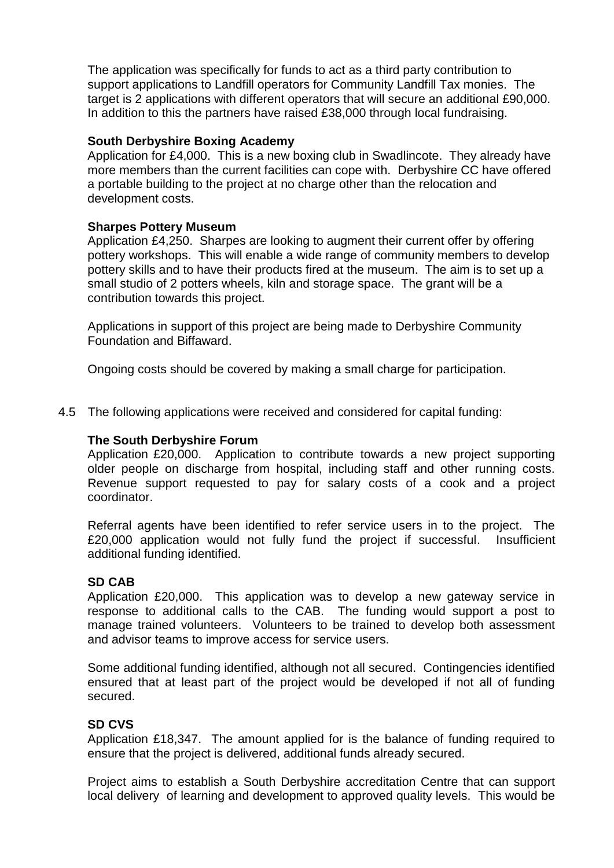The application was specifically for funds to act as a third party contribution to support applications to Landfill operators for Community Landfill Tax monies. The target is 2 applications with different operators that will secure an additional £90,000. In addition to this the partners have raised £38,000 through local fundraising.

### **South Derbyshire Boxing Academy**

Application for £4,000. This is a new boxing club in Swadlincote. They already have more members than the current facilities can cope with. Derbyshire CC have offered a portable building to the project at no charge other than the relocation and development costs.

## **Sharpes Pottery Museum**

Application £4,250. Sharpes are looking to augment their current offer by offering pottery workshops. This will enable a wide range of community members to develop pottery skills and to have their products fired at the museum. The aim is to set up a small studio of 2 potters wheels, kiln and storage space. The grant will be a contribution towards this project.

Applications in support of this project are being made to Derbyshire Community Foundation and Biffaward.

Ongoing costs should be covered by making a small charge for participation.

4.5 The following applications were received and considered for capital funding:

### **The South Derbyshire Forum**

Application £20,000. Application to contribute towards a new project supporting older people on discharge from hospital, including staff and other running costs. Revenue support requested to pay for salary costs of a cook and a project coordinator.

Referral agents have been identified to refer service users in to the project. The £20,000 application would not fully fund the project if successful. Insufficient additional funding identified.

#### **SD CAB**

Application £20,000. This application was to develop a new gateway service in response to additional calls to the CAB. The funding would support a post to manage trained volunteers. Volunteers to be trained to develop both assessment and advisor teams to improve access for service users.

Some additional funding identified, although not all secured. Contingencies identified ensured that at least part of the project would be developed if not all of funding secured.

#### **SD CVS**

Application £18,347. The amount applied for is the balance of funding required to ensure that the project is delivered, additional funds already secured.

Project aims to establish a South Derbyshire accreditation Centre that can support local delivery of learning and development to approved quality levels. This would be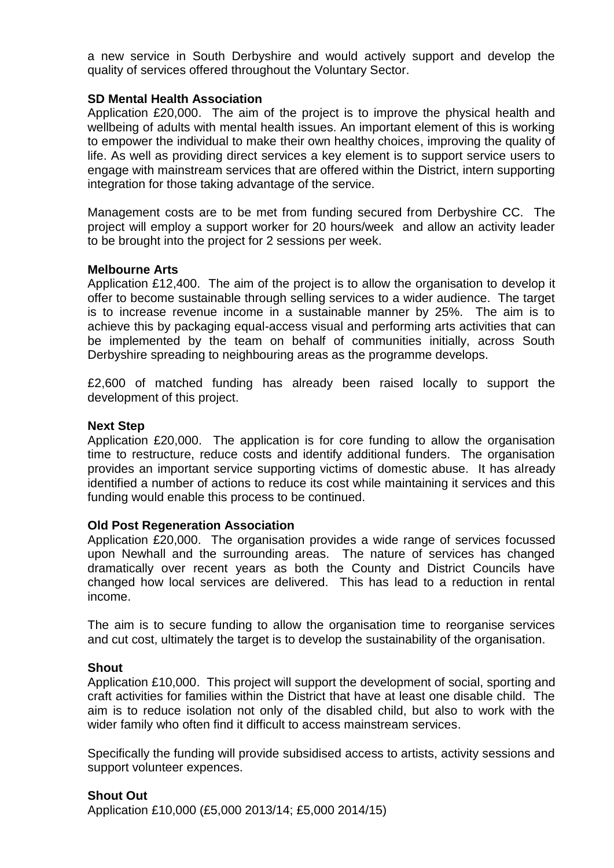a new service in South Derbyshire and would actively support and develop the quality of services offered throughout the Voluntary Sector.

### **SD Mental Health Association**

Application £20,000. The aim of the project is to improve the physical health and wellbeing of adults with mental health issues. An important element of this is working to empower the individual to make their own healthy choices, improving the quality of life. As well as providing direct services a key element is to support service users to engage with mainstream services that are offered within the District, intern supporting integration for those taking advantage of the service.

Management costs are to be met from funding secured from Derbyshire CC. The project will employ a support worker for 20 hours/week and allow an activity leader to be brought into the project for 2 sessions per week.

### **Melbourne Arts**

Application £12,400. The aim of the project is to allow the organisation to develop it offer to become sustainable through selling services to a wider audience. The target is to increase revenue income in a sustainable manner by 25%. The aim is to achieve this by packaging equal-access visual and performing arts activities that can be implemented by the team on behalf of communities initially, across South Derbyshire spreading to neighbouring areas as the programme develops.

£2,600 of matched funding has already been raised locally to support the development of this project.

### **Next Step**

Application £20,000. The application is for core funding to allow the organisation time to restructure, reduce costs and identify additional funders. The organisation provides an important service supporting victims of domestic abuse. It has already identified a number of actions to reduce its cost while maintaining it services and this funding would enable this process to be continued.

#### **Old Post Regeneration Association**

Application £20,000. The organisation provides a wide range of services focussed upon Newhall and the surrounding areas. The nature of services has changed dramatically over recent years as both the County and District Councils have changed how local services are delivered. This has lead to a reduction in rental income.

The aim is to secure funding to allow the organisation time to reorganise services and cut cost, ultimately the target is to develop the sustainability of the organisation.

## **Shout**

Application £10,000. This project will support the development of social, sporting and craft activities for families within the District that have at least one disable child. The aim is to reduce isolation not only of the disabled child, but also to work with the wider family who often find it difficult to access mainstream services.

Specifically the funding will provide subsidised access to artists, activity sessions and support volunteer expences.

## **Shout Out**

Application £10,000 (£5,000 2013/14; £5,000 2014/15)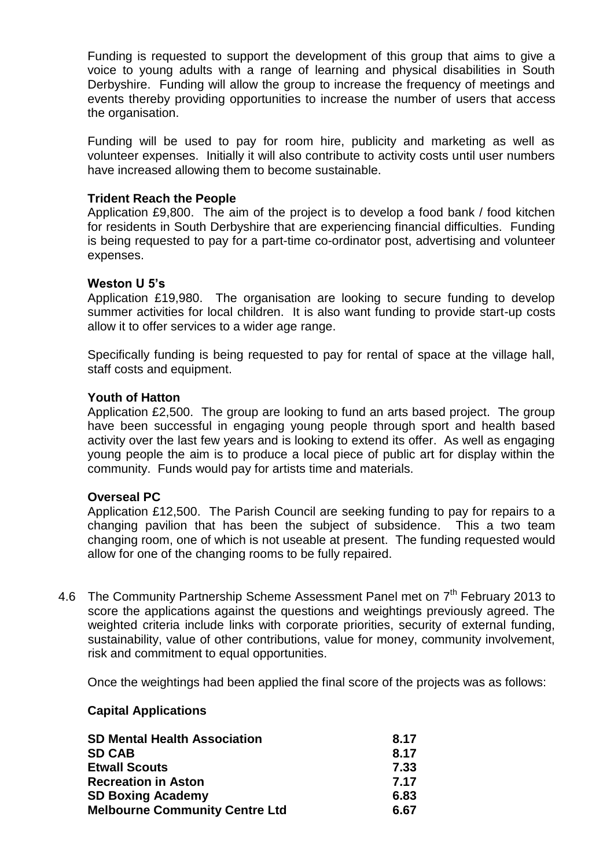Funding is requested to support the development of this group that aims to give a voice to young adults with a range of learning and physical disabilities in South Derbyshire. Funding will allow the group to increase the frequency of meetings and events thereby providing opportunities to increase the number of users that access the organisation.

Funding will be used to pay for room hire, publicity and marketing as well as volunteer expenses. Initially it will also contribute to activity costs until user numbers have increased allowing them to become sustainable.

### **Trident Reach the People**

Application £9,800. The aim of the project is to develop a food bank / food kitchen for residents in South Derbyshire that are experiencing financial difficulties. Funding is being requested to pay for a part-time co-ordinator post, advertising and volunteer expenses.

### **Weston U 5's**

Application £19,980. The organisation are looking to secure funding to develop summer activities for local children. It is also want funding to provide start-up costs allow it to offer services to a wider age range.

Specifically funding is being requested to pay for rental of space at the village hall, staff costs and equipment.

#### **Youth of Hatton**

Application £2,500. The group are looking to fund an arts based project. The group have been successful in engaging young people through sport and health based activity over the last few years and is looking to extend its offer. As well as engaging young people the aim is to produce a local piece of public art for display within the community. Funds would pay for artists time and materials.

#### **Overseal PC**

Application £12,500. The Parish Council are seeking funding to pay for repairs to a changing pavilion that has been the subject of subsidence. This a two team changing room, one of which is not useable at present. The funding requested would allow for one of the changing rooms to be fully repaired.

4.6 The Community Partnership Scheme Assessment Panel met on  $7<sup>th</sup>$  February 2013 to score the applications against the questions and weightings previously agreed. The weighted criteria include links with corporate priorities, security of external funding, sustainability, value of other contributions, value for money, community involvement, risk and commitment to equal opportunities.

Once the weightings had been applied the final score of the projects was as follows:

#### **Capital Applications**

| <b>SD Mental Health Association</b>   | 8.17 |
|---------------------------------------|------|
| <b>SD CAB</b>                         | 8.17 |
| <b>Etwall Scouts</b>                  | 7.33 |
| <b>Recreation in Aston</b>            | 7.17 |
| <b>SD Boxing Academy</b>              | 6.83 |
| <b>Melbourne Community Centre Ltd</b> | 6.67 |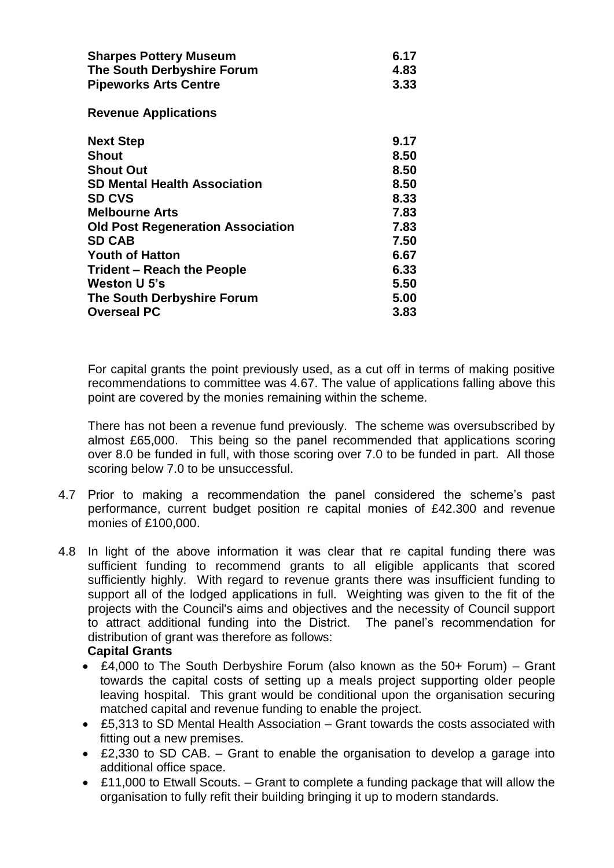| <b>Sharpes Pottery Museum</b>            | 6.17 |
|------------------------------------------|------|
| The South Derbyshire Forum               | 4.83 |
| <b>Pipeworks Arts Centre</b>             | 3.33 |
| <b>Revenue Applications</b>              |      |
| <b>Next Step</b>                         | 9.17 |
| Shout                                    | 8.50 |
| <b>Shout Out</b>                         | 8.50 |
| SD Mental Health Association             | 8.50 |
| <b>SD CVS</b>                            | 8.33 |
| <b>Melbourne Arts</b>                    | 7.83 |
| <b>Old Post Regeneration Association</b> | 7.83 |
| <b>SD CAB</b>                            | 7.50 |
| <b>Youth of Hatton</b>                   | 6.67 |
| Trident - Reach the People               | 6.33 |
| Weston U 5's                             | 5.50 |
| The South Derbyshire Forum               | 5.00 |
| <b>Overseal PC</b>                       | 3.83 |

For capital grants the point previously used, as a cut off in terms of making positive recommendations to committee was 4.67. The value of applications falling above this point are covered by the monies remaining within the scheme.

There has not been a revenue fund previously. The scheme was oversubscribed by almost £65,000. This being so the panel recommended that applications scoring over 8.0 be funded in full, with those scoring over 7.0 to be funded in part. All those scoring below 7.0 to be unsuccessful.

- 4.7 Prior to making a recommendation the panel considered the scheme's past performance, current budget position re capital monies of £42.300 and revenue monies of £100,000.
- 4.8 In light of the above information it was clear that re capital funding there was sufficient funding to recommend grants to all eligible applicants that scored sufficiently highly. With regard to revenue grants there was insufficient funding to support all of the lodged applications in full. Weighting was given to the fit of the projects with the Council's aims and objectives and the necessity of Council support to attract additional funding into the District. The panel's recommendation for distribution of grant was therefore as follows:

## **Capital Grants**

- £4,000 to The South Derbyshire Forum (also known as the 50+ Forum) Grant towards the capital costs of setting up a meals project supporting older people leaving hospital. This grant would be conditional upon the organisation securing matched capital and revenue funding to enable the project.
- £5,313 to SD Mental Health Association Grant towards the costs associated with fitting out a new premises.
- £2,330 to SD CAB. Grant to enable the organisation to develop a garage into additional office space.
- £11,000 to Etwall Scouts. Grant to complete a funding package that will allow the organisation to fully refit their building bringing it up to modern standards.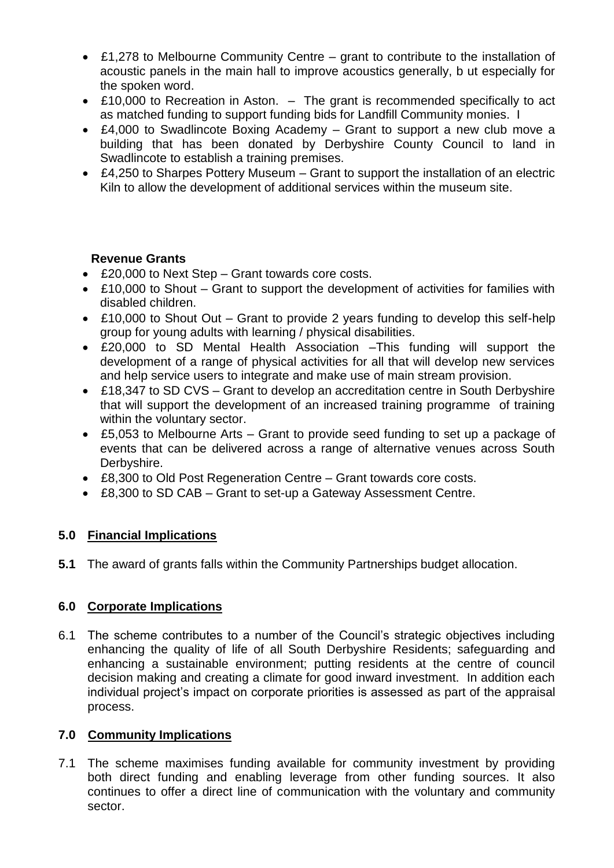- £1,278 to Melbourne Community Centre grant to contribute to the installation of acoustic panels in the main hall to improve acoustics generally, b ut especially for the spoken word.
- £10,000 to Recreation in Aston. The grant is recommended specifically to act as matched funding to support funding bids for Landfill Community monies. I
- £4,000 to Swadlincote Boxing Academy Grant to support a new club move a building that has been donated by Derbyshire County Council to land in Swadlincote to establish a training premises.
- £4,250 to Sharpes Pottery Museum Grant to support the installation of an electric Kiln to allow the development of additional services within the museum site.

## **Revenue Grants**

- £20,000 to Next Step Grant towards core costs.
- £10,000 to Shout Grant to support the development of activities for families with disabled children.
- £10,000 to Shout Out Grant to provide 2 years funding to develop this self-help group for young adults with learning / physical disabilities.
- £20,000 to SD Mental Health Association –This funding will support the development of a range of physical activities for all that will develop new services and help service users to integrate and make use of main stream provision.
- £18,347 to SD CVS Grant to develop an accreditation centre in South Derbyshire that will support the development of an increased training programme of training within the voluntary sector.
- £5,053 to Melbourne Arts Grant to provide seed funding to set up a package of events that can be delivered across a range of alternative venues across South Derbyshire.
- £8,300 to Old Post Regeneration Centre Grant towards core costs.
- £8,300 to SD CAB Grant to set-up a Gateway Assessment Centre.

# **5.0 Financial Implications**

**5.1** The award of grants falls within the Community Partnerships budget allocation.

# **6.0 Corporate Implications**

6.1 The scheme contributes to a number of the Council's strategic objectives including enhancing the quality of life of all South Derbyshire Residents; safeguarding and enhancing a sustainable environment; putting residents at the centre of council decision making and creating a climate for good inward investment. In addition each individual project's impact on corporate priorities is assessed as part of the appraisal process.

# **7.0 Community Implications**

7.1 The scheme maximises funding available for community investment by providing both direct funding and enabling leverage from other funding sources. It also continues to offer a direct line of communication with the voluntary and community sector.